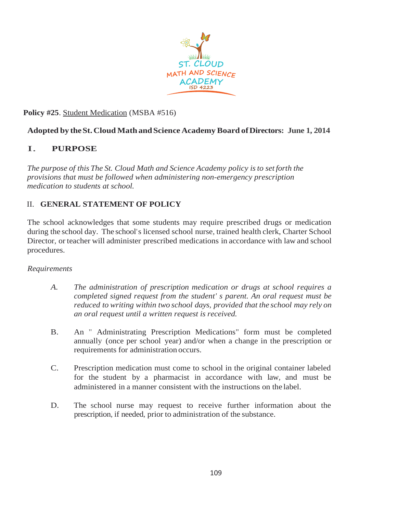

### **Policy #25**. Student Medication (MSBA #516)

### **Adopted by theSt.Cloud Math andScience Academy Board ofDirectors: June 1, 2014**

# I. **PURPOSE**

*The purpose of this The St. Cloud Math and Science Academy policy isto set forth the provisions that must be followed when administering non-emergency prescription medication to students at school.*

# II. **GENERAL STATEMENT OF POLICY**

The school acknowledges that some students may require prescribed drugs or medication during the school day. The school's licensed school nurse, trained health clerk, Charter School Director, or teacher will administer prescribed medications in accordance with law and school procedures.

#### *Requirements*

- *A. The administration of prescription medication or drugs at school requires a completed signed request from the student' s parent. An oral request must be reduced to writing within two school days, provided that the school may rely on an oral request until a written request is received.*
- B. An " Administrating Prescription Medications" form must be completed annually (once per school year) and/or when a change in the prescription or requirements for administration occurs.
- C. Prescription medication must come to school in the original container labeled for the student by a pharmacist in accordance with law, and must be administered in a manner consistent with the instructions on the label.
- D. The school nurse may request to receive further information about the prescription, if needed, prior to administration of the substance.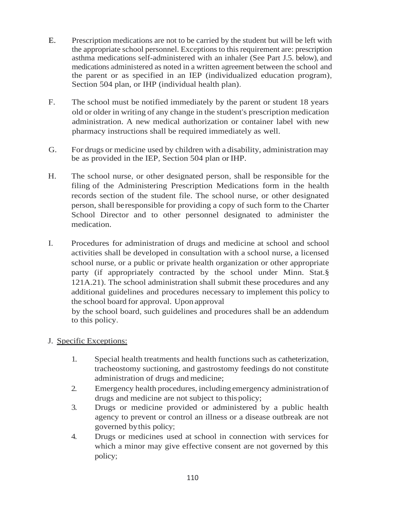- E. Prescription medications are not to be carried by the student but will be left with the appropriate school personnel. Exceptions to this requirement are: prescription asthma medications self-administered with an inhaler (See Part J.5. below), and medications administered as noted in a written agreement between the school and the parent or as specified in an IEP (individualized education program), Section 504 plan, or IHP (individual health plan).
- F. The school must be notified immediately by the parent or student 18 years old or older in writing of any change in the student's prescription medication administration. A new medical authorization or container label with new pharmacy instructions shall be required immediately as well.
- G. For drugs or medicine used by children with a disability, administration may be as provided in the IEP, Section 504 plan or IHP.
- H. The school nurse, or other designated person, shall be responsible for the filing of the Administering Prescription Medications form in the health records section of the student file. The school nurse, or other designated person, shall beresponsible for providing a copy of such form to the Charter School Director and to other personnel designated to administer the medication.
- I. Procedures for administration of drugs and medicine at school and school activities shall be developed in consultation with a school nurse, a licensed school nurse, or a public or private health organization or other appropriate party (if appropriately contracted by the school under Minn. Stat.§ 121A.21). The school administration shall submit these procedures and any additional guidelines and procedures necessary to implement this policy to the school board for approval. Upon approval

by the school board, such guidelines and procedures shall be an addendum to this policy.

- J. Specific Exceptions:
	- 1. Special health treatments and health functions such as catheterization, tracheostomy suctioning, and gastrostomy feedings do not constitute administration of drugs and medicine;
	- 2. Emergency health procedures, including emergency administrationof drugs and medicine are not subject to thispolicy;
	- 3. Drugs or medicine provided or administered by a public health agency to prevent or control an illness or a disease outbreak are not governed bythis policy;
	- 4. Drugs or medicines used at school in connection with services for which a minor may give effective consent are not governed by this policy;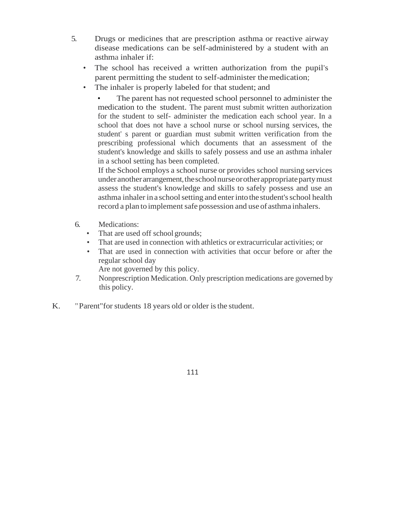- 5. Drugs or medicines that are prescription asthma or reactive airway disease medications can be self-administered by a student with an asthma inhaler if:
	- The school has received a written authorization from the pupil's parent permitting the student to self-administer themedication;
	- The inhaler is properly labeled for that student; and

The parent has not requested school personnel to administer the medication to the student. The parent must submit written authorization for the student to self- administer the medication each school year. In a school that does not have a school nurse or school nursing services, the student' s parent or guardian must submit written verification from the prescribing professional which documents that an assessment of the student's knowledge and skills to safely possess and use an asthma inhaler in a school setting has been completed.

If the School employs a school nurse or provides school nursing services under another arrangement, the school nurse or other appropriate party must assess the student's knowledge and skills to safely possess and use an asthma inhaler in a school setting and enter into the student's school health record a plan to implement safe possession and use of asthma inhalers.

- 6. Medications:
	- That are used off school grounds;
	- That are used in connection with athletics or extracurricular activities; or
	- That are used in connection with activities that occur before or after the regular school day
		- Are not governed by this policy.
- 7. Nonprescription Medication. Only prescription medications are governed by this policy.
- K. "Parent" for students 18 years old or older is the student.

111